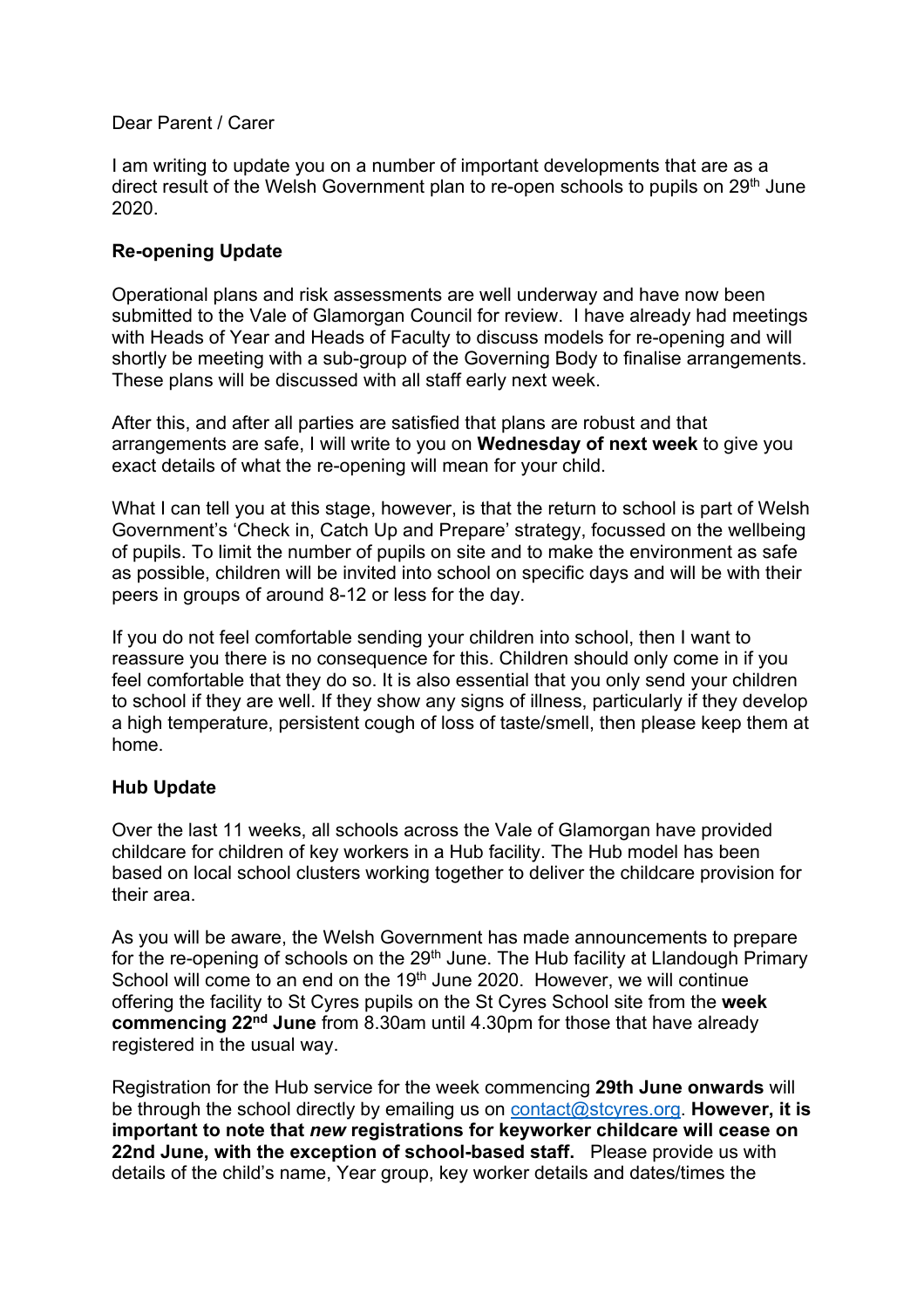## Dear Parent / Carer

I am writing to update you on a number of important developments that are as a direct result of the Welsh Government plan to re-open schools to pupils on 29<sup>th</sup> June 2020.

## **Re-opening Update**

Operational plans and risk assessments are well underway and have now been submitted to the Vale of Glamorgan Council for review. I have already had meetings with Heads of Year and Heads of Faculty to discuss models for re-opening and will shortly be meeting with a sub-group of the Governing Body to finalise arrangements. These plans will be discussed with all staff early next week.

After this, and after all parties are satisfied that plans are robust and that arrangements are safe, I will write to you on **Wednesday of next week** to give you exact details of what the re-opening will mean for your child.

What I can tell you at this stage, however, is that the return to school is part of Welsh Government's 'Check in, Catch Up and Prepare' strategy, focussed on the wellbeing of pupils. To limit the number of pupils on site and to make the environment as safe as possible, children will be invited into school on specific days and will be with their peers in groups of around 8-12 or less for the day.

If you do not feel comfortable sending your children into school, then I want to reassure you there is no consequence for this. Children should only come in if you feel comfortable that they do so. It is also essential that you only send your children to school if they are well. If they show any signs of illness, particularly if they develop a high temperature, persistent cough of loss of taste/smell, then please keep them at home.

## **Hub Update**

Over the last 11 weeks, all schools across the Vale of Glamorgan have provided childcare for children of key workers in a Hub facility. The Hub model has been based on local school clusters working together to deliver the childcare provision for their area.

As you will be aware, the Welsh Government has made announcements to prepare for the re-opening of schools on the 29<sup>th</sup> June. The Hub facility at Llandough Primary School will come to an end on the 19<sup>th</sup> June 2020. However, we will continue offering the facility to St Cyres pupils on the St Cyres School site from the **week commencing 22nd June** from 8.30am until 4.30pm for those that have already registered in the usual way.

Registration for the Hub service for the week commencing **29th June onwards** will be through the school directly by emailing us on contact@stcyres.org. **However, it is important to note that** *new* **registrations for keyworker childcare will cease on 22nd June, with the exception of school-based staff.** Please provide us with details of the child's name, Year group, key worker details and dates/times the